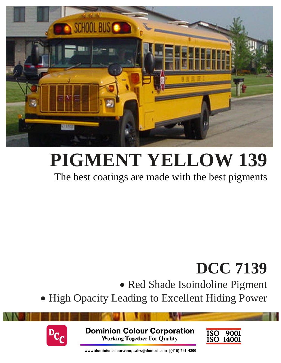

# **PIGMENT YELLOW 139**

## The best coatings are made with the best pigments

## **DCC 7139**

• Red Shade Isoindoline Pigment

• High Opacity Leading to Excellent Hiding Power



**Dominion Colour Corporation Working Together For Quality** 



**www:dominioncolour.com; sales@domcol.com |(416) 791-4200**